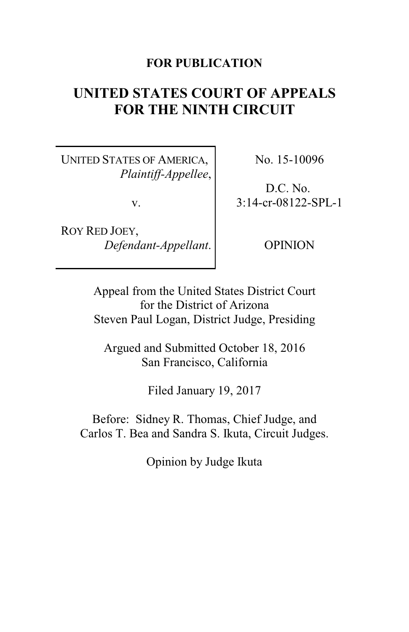## **FOR PUBLICATION**

# **UNITED STATES COURT OF APPEALS FOR THE NINTH CIRCUIT**

UNITED STATES OF AMERICA, *Plaintiff-Appellee*,

v.

ROY RED JOEY, *Defendant-Appellant*. No. 15-10096

D.C. No. 3:14-cr-08122-SPL-1

OPINION

Appeal from the United States District Court for the District of Arizona Steven Paul Logan, District Judge, Presiding

Argued and Submitted October 18, 2016 San Francisco, California

Filed January 19, 2017

Before: Sidney R. Thomas, Chief Judge, and Carlos T. Bea and Sandra S. Ikuta, Circuit Judges.

Opinion by Judge Ikuta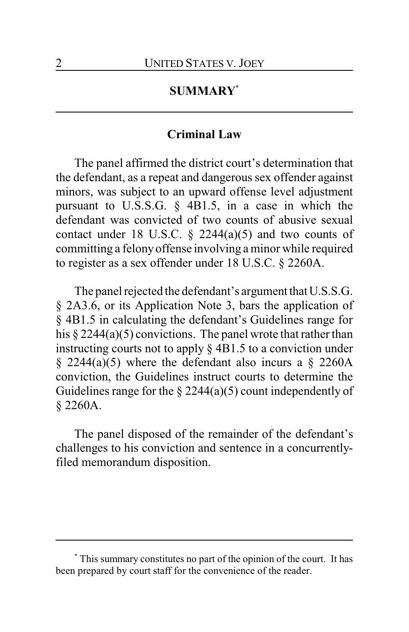## **SUMMARY\***

### **Criminal Law**

The panel affirmed the district court's determination that the defendant, as a repeat and dangerous sex offender against minors, was subject to an upward offense level adjustment pursuant to U.S.S.G. § 4B1.5, in a case in which the defendant was convicted of two counts of abusive sexual contact under 18 U.S.C.  $\S$  2244(a)(5) and two counts of committing a felonyoffense involving a minor while required to register as a sex offender under 18 U.S.C. § 2260A.

The panel rejected the defendant's argument that U.S.S.G. § 2A3.6, or its Application Note 3, bars the application of § 4B1.5 in calculating the defendant's Guidelines range for his  $\S 2244(a)(5)$  convictions. The panel wrote that rather than instructing courts not to apply § 4B1.5 to a conviction under  $\S$  2244(a)(5) where the defendant also incurs a  $\S$  2260A conviction, the Guidelines instruct courts to determine the Guidelines range for the  $\S 2244(a)(5)$  count independently of § 2260A.

The panel disposed of the remainder of the defendant's challenges to his conviction and sentence in a concurrentlyfiled memorandum disposition.

**<sup>\*</sup>** This summary constitutes no part of the opinion of the court. It has been prepared by court staff for the convenience of the reader.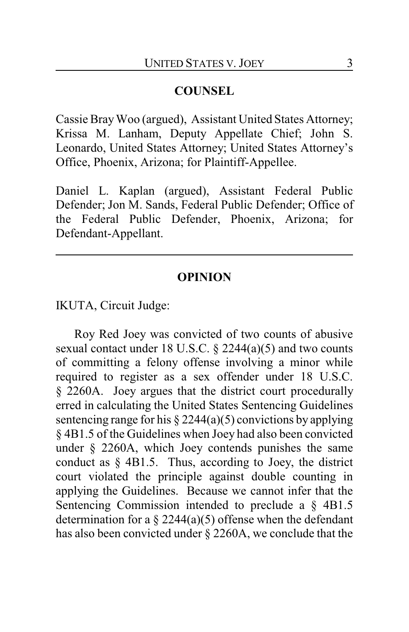## **COUNSEL**

Cassie BrayWoo (argued), Assistant United States Attorney; Krissa M. Lanham, Deputy Appellate Chief; John S. Leonardo, United States Attorney; United States Attorney's Office, Phoenix, Arizona; for Plaintiff-Appellee.

Daniel L. Kaplan (argued), Assistant Federal Public Defender; Jon M. Sands, Federal Public Defender; Office of the Federal Public Defender, Phoenix, Arizona; for Defendant-Appellant.

### **OPINION**

IKUTA, Circuit Judge:

Roy Red Joey was convicted of two counts of abusive sexual contact under 18 U.S.C. § 2244(a)(5) and two counts of committing a felony offense involving a minor while required to register as a sex offender under 18 U.S.C. § 2260A. Joey argues that the district court procedurally erred in calculating the United States Sentencing Guidelines sentencing range for his  $\S 2244(a)(5)$  convictions by applying § 4B1.5 of the Guidelines when Joey had also been convicted under § 2260A, which Joey contends punishes the same conduct as § 4B1.5. Thus, according to Joey, the district court violated the principle against double counting in applying the Guidelines. Because we cannot infer that the Sentencing Commission intended to preclude a § 4B1.5 determination for a  $\S 2244(a)(5)$  offense when the defendant has also been convicted under § 2260A, we conclude that the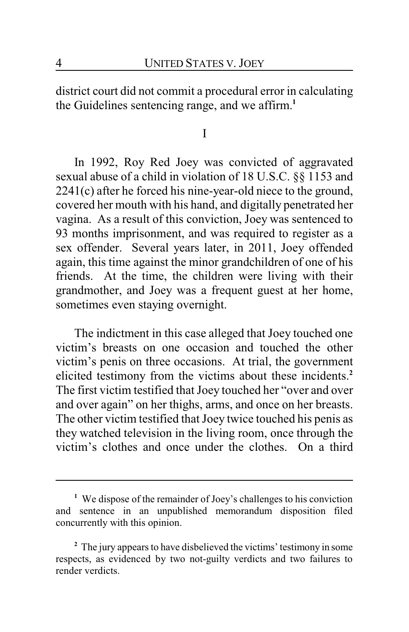district court did not commit a procedural error in calculating the Guidelines sentencing range, and we affirm.**<sup>1</sup>**

I

In 1992, Roy Red Joey was convicted of aggravated sexual abuse of a child in violation of 18 U.S.C. §§ 1153 and 2241(c) after he forced his nine-year-old niece to the ground, covered her mouth with his hand, and digitally penetrated her vagina. As a result of this conviction, Joey was sentenced to 93 months imprisonment, and was required to register as a sex offender. Several years later, in 2011, Joey offended again, this time against the minor grandchildren of one of his friends. At the time, the children were living with their grandmother, and Joey was a frequent guest at her home, sometimes even staying overnight.

The indictment in this case alleged that Joey touched one victim's breasts on one occasion and touched the other victim's penis on three occasions. At trial, the government elicited testimony from the victims about these incidents.**<sup>2</sup>** The first victim testified that Joey touched her "over and over and over again" on her thighs, arms, and once on her breasts. The other victim testified that Joey twice touched his penis as they watched television in the living room, once through the victim's clothes and once under the clothes. On a third

**<sup>1</sup>** We dispose of the remainder of Joey's challenges to his conviction and sentence in an unpublished memorandum disposition filed concurrently with this opinion.

<sup>&</sup>lt;sup>2</sup> The jury appears to have disbelieved the victims' testimony in some respects, as evidenced by two not-guilty verdicts and two failures to render verdicts.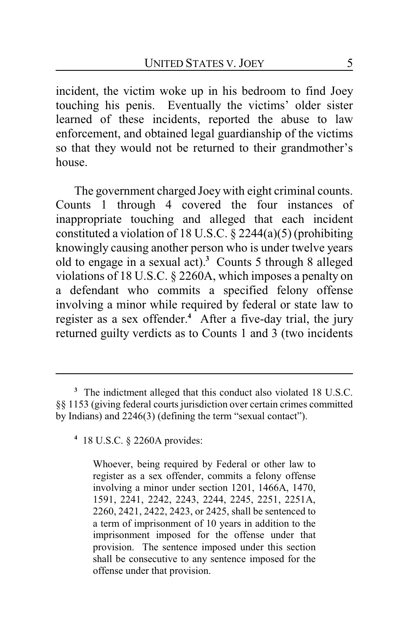incident, the victim woke up in his bedroom to find Joey touching his penis. Eventually the victims' older sister learned of these incidents, reported the abuse to law enforcement, and obtained legal guardianship of the victims so that they would not be returned to their grandmother's house.

The government charged Joey with eight criminal counts. Counts 1 through 4 covered the four instances of inappropriate touching and alleged that each incident constituted a violation of 18 U.S.C.  $\S$  2244(a)(5) (prohibiting knowingly causing another person who is under twelve years old to engage in a sexual act).**<sup>3</sup>** Counts 5 through 8 alleged violations of 18 U.S.C. § 2260A, which imposes a penalty on a defendant who commits a specified felony offense involving a minor while required by federal or state law to register as a sex offender.**<sup>4</sup>** After a five-day trial, the jury returned guilty verdicts as to Counts 1 and 3 (two incidents

Whoever, being required by Federal or other law to register as a sex offender, commits a felony offense involving a minor under section 1201, 1466A, 1470, 1591, 2241, 2242, 2243, 2244, 2245, 2251, 2251A, 2260, 2421, 2422, 2423, or 2425, shall be sentenced to a term of imprisonment of 10 years in addition to the imprisonment imposed for the offense under that provision. The sentence imposed under this section shall be consecutive to any sentence imposed for the offense under that provision.

**<sup>3</sup>** The indictment alleged that this conduct also violated 18 U.S.C. §§ 1153 (giving federal courts jurisdiction over certain crimes committed by Indians) and 2246(3) (defining the term "sexual contact").

**<sup>4</sup>** 18 U.S.C. § 2260A provides: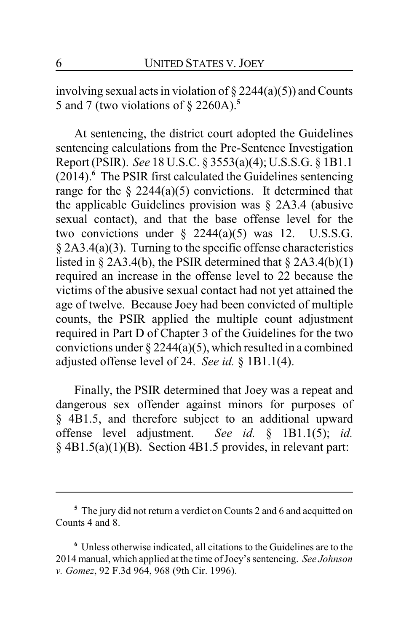involving sexual acts in violation of  $\S 2244(a)(5)$  and Counts 5 and 7 (two violations of § 2260A).**<sup>5</sup>**

At sentencing, the district court adopted the Guidelines sentencing calculations from the Pre-Sentence Investigation Report (PSIR). *See* 18 U.S.C. § 3553(a)(4); U.S.S.G. § 1B1.1 (2014).**<sup>6</sup>** The PSIR first calculated the Guidelines sentencing range for the  $\S$  2244(a)(5) convictions. It determined that the applicable Guidelines provision was § 2A3.4 (abusive sexual contact), and that the base offense level for the two convictions under  $\S$  2244(a)(5) was 12. U.S.S.G. § 2A3.4(a)(3). Turning to the specific offense characteristics listed in  $\S$  2A3.4(b), the PSIR determined that  $\S$  2A3.4(b)(1) required an increase in the offense level to 22 because the victims of the abusive sexual contact had not yet attained the age of twelve. Because Joey had been convicted of multiple counts, the PSIR applied the multiple count adjustment required in Part D of Chapter 3 of the Guidelines for the two convictions under  $\S 2244(a)(5)$ , which resulted in a combined adjusted offense level of 24. *See id.* § 1B1.1(4).

Finally, the PSIR determined that Joey was a repeat and dangerous sex offender against minors for purposes of § 4B1.5, and therefore subject to an additional upward offense level adjustment. *See id.* § 1B1.1(5); *id.* § 4B1.5(a)(1)(B). Section 4B1.5 provides, in relevant part:

**<sup>5</sup>** The jury did not return a verdict on Counts 2 and 6 and acquitted on Counts 4 and 8.

**<sup>6</sup>** Unless otherwise indicated, all citations to the Guidelines are to the 2014 manual, which applied at the time ofJoey's sentencing. *See Johnson v. Gomez*, 92 F.3d 964, 968 (9th Cir. 1996).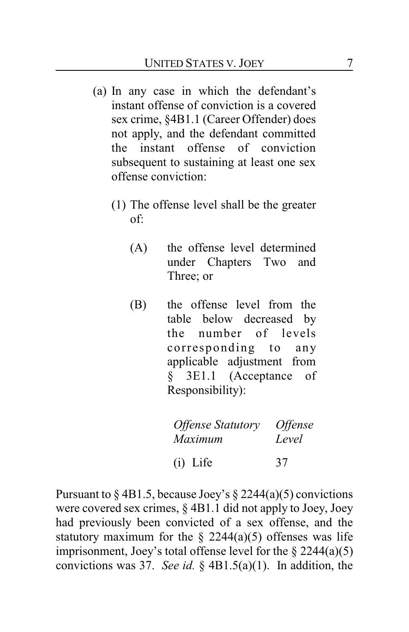- (a) In any case in which the defendant's instant offense of conviction is a covered sex crime, §4B1.1 (Career Offender) does not apply, and the defendant committed the instant offense of conviction subsequent to sustaining at least one sex offense conviction:
	- (1) The offense level shall be the greater of:
		- (A) the offense level determined under Chapters Two and Three; or
		- (B) the offense level from the table below decreased by the number of levels corresponding to any applicable adjustment from § 3E1.1 (Acceptance of Responsibility):

| <b>Offense Statutory</b> | <i><b>Offense</b></i> |
|--------------------------|-----------------------|
| Maximum                  | Level                 |
| $(i)$ Life               | 37                    |

Pursuant to  $\S$  4B1.5, because Joey's  $\S$  2244(a)(5) convictions were covered sex crimes, § 4B1.1 did not apply to Joey, Joey had previously been convicted of a sex offense, and the statutory maximum for the  $\S$  2244(a)(5) offenses was life imprisonment, Joey's total offense level for the  $\S 2244(a)(5)$ convictions was 37. *See id.* § 4B1.5(a)(1). In addition, the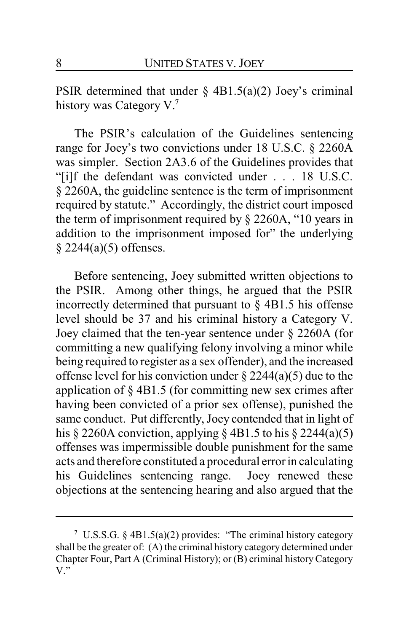PSIR determined that under  $\S$  4B1.5(a)(2) Joey's criminal history was Category V.**<sup>7</sup>**

The PSIR's calculation of the Guidelines sentencing range for Joey's two convictions under 18 U.S.C. § 2260A was simpler. Section 2A3.6 of the Guidelines provides that "[i]f the defendant was convicted under . . . 18 U.S.C. § 2260A, the guideline sentence is the term of imprisonment required by statute." Accordingly, the district court imposed the term of imprisonment required by § 2260A, "10 years in addition to the imprisonment imposed for" the underlying § 2244(a)(5) offenses.

Before sentencing, Joey submitted written objections to the PSIR. Among other things, he argued that the PSIR incorrectly determined that pursuant to § 4B1.5 his offense level should be 37 and his criminal history a Category V. Joey claimed that the ten-year sentence under § 2260A (for committing a new qualifying felony involving a minor while being required to register as a sex offender), and the increased offense level for his conviction under  $\S 2244(a)(5)$  due to the application of § 4B1.5 (for committing new sex crimes after having been convicted of a prior sex offense), punished the same conduct. Put differently, Joey contended that in light of his § 2260A conviction, applying § 4B1.5 to his § 2244(a)(5) offenses was impermissible double punishment for the same acts and therefore constituted a procedural error in calculating his Guidelines sentencing range. Joey renewed these objections at the sentencing hearing and also argued that the

**<sup>7</sup>** U.S.S.G. § 4B1.5(a)(2) provides: "The criminal history category shall be the greater of: (A) the criminal history category determined under Chapter Four, Part A (Criminal History); or (B) criminal history Category V."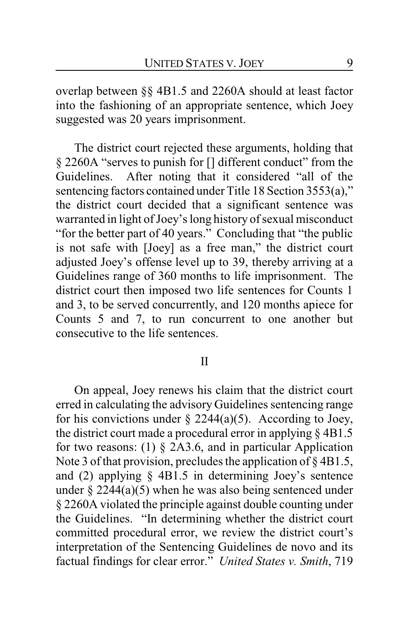overlap between §§ 4B1.5 and 2260A should at least factor into the fashioning of an appropriate sentence, which Joey suggested was 20 years imprisonment.

The district court rejected these arguments, holding that § 2260A "serves to punish for [] different conduct" from the Guidelines. After noting that it considered "all of the sentencing factors contained under Title 18 Section 3553(a)," the district court decided that a significant sentence was warranted in light of Joey's long history of sexual misconduct "for the better part of 40 years." Concluding that "the public is not safe with [Joey] as a free man," the district court adjusted Joey's offense level up to 39, thereby arriving at a Guidelines range of 360 months to life imprisonment. The district court then imposed two life sentences for Counts 1 and 3, to be served concurrently, and 120 months apiece for Counts 5 and 7, to run concurrent to one another but consecutive to the life sentences.

#### II

On appeal, Joey renews his claim that the district court erred in calculating the advisory Guidelines sentencing range for his convictions under  $\S$  2244(a)(5). According to Joey, the district court made a procedural error in applying § 4B1.5 for two reasons: (1)  $\S$  2A3.6, and in particular Application Note 3 of that provision, precludes the application of §4B1.5, and (2) applying § 4B1.5 in determining Joey's sentence under  $\S 2244(a)(5)$  when he was also being sentenced under § 2260A violated the principle against double counting under the Guidelines. "In determining whether the district court committed procedural error, we review the district court's interpretation of the Sentencing Guidelines de novo and its factual findings for clear error." *United States v. Smith*, 719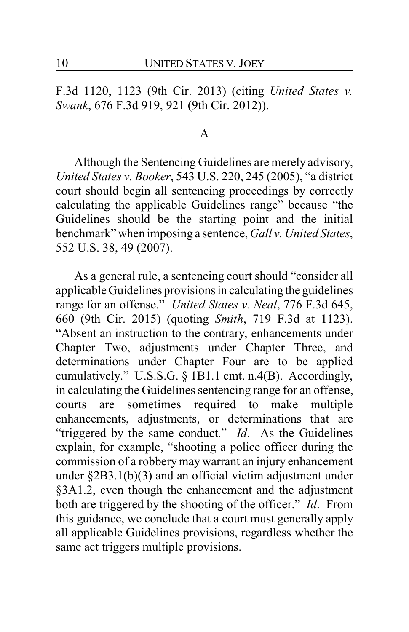F.3d 1120, 1123 (9th Cir. 2013) (citing *United States v. Swank*, 676 F.3d 919, 921 (9th Cir. 2012)).

#### A

Although the Sentencing Guidelines are merely advisory, *United States v. Booker*, 543 U.S. 220, 245 (2005), "a district court should begin all sentencing proceedings by correctly calculating the applicable Guidelines range" because "the Guidelines should be the starting point and the initial benchmark" when imposing a sentence, *Gall v. United States*, 552 U.S. 38, 49 (2007).

As a general rule, a sentencing court should "consider all applicable Guidelines provisions in calculating the guidelines range for an offense." *United States v. Neal*, 776 F.3d 645, 660 (9th Cir. 2015) (quoting *Smith*, 719 F.3d at 1123). "Absent an instruction to the contrary, enhancements under Chapter Two, adjustments under Chapter Three, and determinations under Chapter Four are to be applied cumulatively." U.S.S.G. § 1B1.1 cmt. n.4(B). Accordingly, in calculating the Guidelines sentencing range for an offense, courts are sometimes required to make multiple enhancements, adjustments, or determinations that are "triggered by the same conduct." *Id*. As the Guidelines explain, for example, "shooting a police officer during the commission of a robberymay warrant an injury enhancement under §2B3.1(b)(3) and an official victim adjustment under §3A1.2, even though the enhancement and the adjustment both are triggered by the shooting of the officer." *Id*. From this guidance, we conclude that a court must generally apply all applicable Guidelines provisions, regardless whether the same act triggers multiple provisions.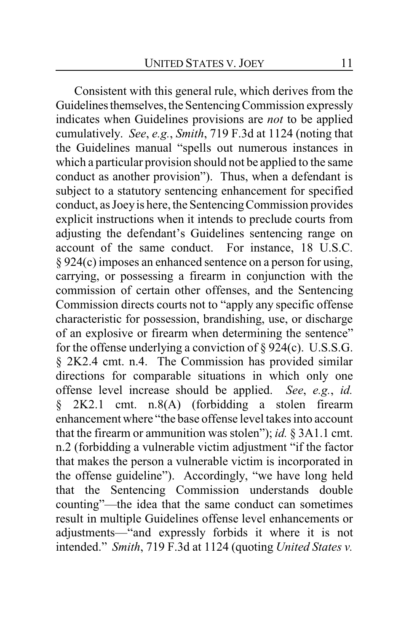Consistent with this general rule, which derives from the Guidelines themselves, the Sentencing Commission expressly indicates when Guidelines provisions are *not* to be applied cumulatively. *See*, *e.g.*, *Smith*, 719 F.3d at 1124 (noting that the Guidelines manual "spells out numerous instances in which a particular provision should not be applied to the same conduct as another provision"). Thus, when a defendant is subject to a statutory sentencing enhancement for specified conduct, as Joeyis here, the SentencingCommission provides explicit instructions when it intends to preclude courts from adjusting the defendant's Guidelines sentencing range on account of the same conduct. For instance, 18 U.S.C. § 924(c) imposes an enhanced sentence on a person for using, carrying, or possessing a firearm in conjunction with the commission of certain other offenses, and the Sentencing Commission directs courts not to "apply any specific offense characteristic for possession, brandishing, use, or discharge of an explosive or firearm when determining the sentence" for the offense underlying a conviction of § 924(c). U.S.S.G. § 2K2.4 cmt. n.4. The Commission has provided similar directions for comparable situations in which only one offense level increase should be applied. *See*, *e.g.*, *id.* § 2K2.1 cmt. n.8(A) (forbidding a stolen firearm enhancement where "the base offense level takes into account that the firearm or ammunition was stolen"); *id.* § 3A1.1 cmt. n.2 (forbidding a vulnerable victim adjustment "if the factor that makes the person a vulnerable victim is incorporated in the offense guideline"). Accordingly, "we have long held that the Sentencing Commission understands double counting"—the idea that the same conduct can sometimes result in multiple Guidelines offense level enhancements or adjustments—"and expressly forbids it where it is not intended." *Smith*, 719 F.3d at 1124 (quoting *United States v.*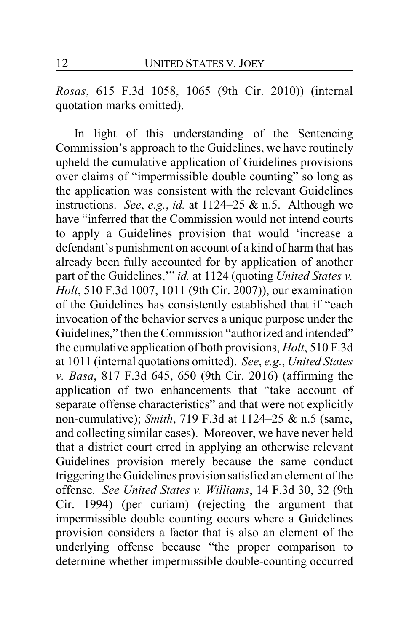*Rosas*, 615 F.3d 1058, 1065 (9th Cir. 2010)) (internal quotation marks omitted).

In light of this understanding of the Sentencing Commission's approach to the Guidelines, we have routinely upheld the cumulative application of Guidelines provisions over claims of "impermissible double counting" so long as the application was consistent with the relevant Guidelines instructions. *See*, *e.g.*, *id.* at 1124–25 & n.5. Although we have "inferred that the Commission would not intend courts to apply a Guidelines provision that would 'increase a defendant's punishment on account of a kind of harm that has already been fully accounted for by application of another part of the Guidelines,'" *id.* at 1124 (quoting *United States v. Holt*, 510 F.3d 1007, 1011 (9th Cir. 2007)), our examination of the Guidelines has consistently established that if "each invocation of the behavior serves a unique purpose under the Guidelines," then the Commission "authorized and intended" the cumulative application of both provisions, *Holt*, 510 F.3d at 1011 (internal quotations omitted). *See*, *e.g.*, *United States v. Basa*, 817 F.3d 645, 650 (9th Cir. 2016) (affirming the application of two enhancements that "take account of separate offense characteristics" and that were not explicitly non-cumulative); *Smith*, 719 F.3d at 1124–25 & n.5 (same, and collecting similar cases). Moreover, we have never held that a district court erred in applying an otherwise relevant Guidelines provision merely because the same conduct triggering the Guidelines provision satisfied an element of the offense. *See United States v. Williams*, 14 F.3d 30, 32 (9th Cir. 1994) (per curiam) (rejecting the argument that impermissible double counting occurs where a Guidelines provision considers a factor that is also an element of the underlying offense because "the proper comparison to determine whether impermissible double-counting occurred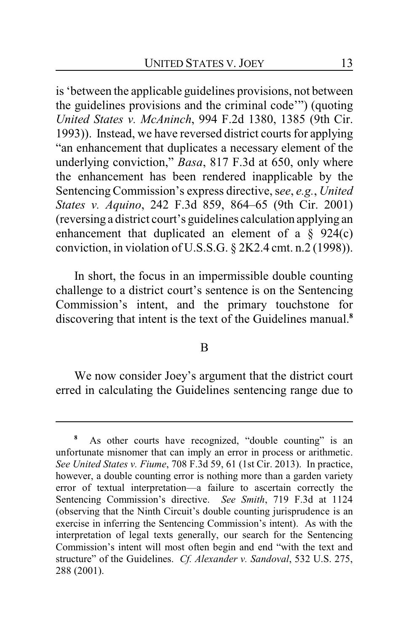is 'between the applicable guidelines provisions, not between the guidelines provisions and the criminal code'") (quoting *United States v. McAninch*, 994 F.2d 1380, 1385 (9th Cir. 1993)). Instead, we have reversed district courts for applying "an enhancement that duplicates a necessary element of the underlying conviction," *Basa*, 817 F.3d at 650, only where the enhancement has been rendered inapplicable by the Sentencing Commission's express directive, see, e.g., *United States v. Aquino*, 242 F.3d 859, 864–65 (9th Cir. 2001) (reversing a district court's guidelines calculation applying an enhancement that duplicated an element of a  $\S$  924(c) conviction, in violation of U.S.S.G. § 2K2.4 cmt. n.2 (1998)).

In short, the focus in an impermissible double counting challenge to a district court's sentence is on the Sentencing Commission's intent, and the primary touchstone for discovering that intent is the text of the Guidelines manual.**<sup>8</sup>**

#### B

We now consider Joey's argument that the district court erred in calculating the Guidelines sentencing range due to

As other courts have recognized, "double counting" is an unfortunate misnomer that can imply an error in process or arithmetic. *See United States v. Fiume*, 708 F.3d 59, 61 (1st Cir. 2013). In practice, however, a double counting error is nothing more than a garden variety error of textual interpretation—a failure to ascertain correctly the Sentencing Commission's directive. *See Smith*, 719 F.3d at 1124 (observing that the Ninth Circuit's double counting jurisprudence is an exercise in inferring the Sentencing Commission's intent). As with the interpretation of legal texts generally, our search for the Sentencing Commission's intent will most often begin and end "with the text and structure" of the Guidelines. *Cf. Alexander v. Sandoval*, 532 U.S. 275, 288 (2001).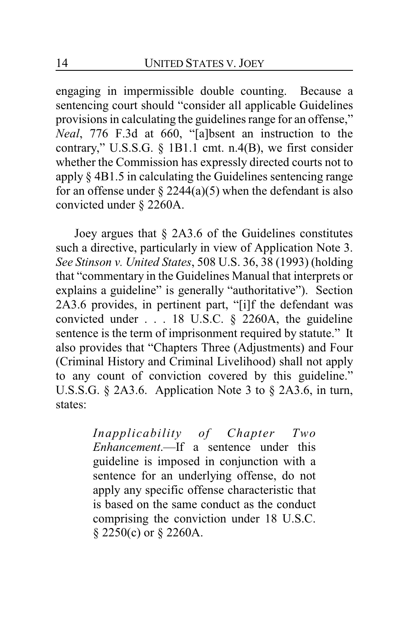engaging in impermissible double counting. Because a sentencing court should "consider all applicable Guidelines provisions in calculating the guidelines range for an offense," *Neal*, 776 F.3d at 660, "[a]bsent an instruction to the contrary," U.S.S.G. § 1B1.1 cmt. n.4(B), we first consider whether the Commission has expressly directed courts not to apply § 4B1.5 in calculating the Guidelines sentencing range for an offense under  $\S 2244(a)(5)$  when the defendant is also convicted under § 2260A.

Joey argues that § 2A3.6 of the Guidelines constitutes such a directive, particularly in view of Application Note 3. *See Stinson v. United States*, 508 U.S. 36, 38 (1993) (holding that "commentary in the Guidelines Manual that interprets or explains a guideline" is generally "authoritative"). Section 2A3.6 provides, in pertinent part, "[i]f the defendant was convicted under  $\ldots$  18 U.S.C. § 2260A, the guideline sentence is the term of imprisonment required by statute." It also provides that "Chapters Three (Adjustments) and Four (Criminal History and Criminal Livelihood) shall not apply to any count of conviction covered by this guideline." U.S.S.G. § 2A3.6. Application Note 3 to § 2A3.6, in turn, states:

> *Inapplicability of Chapter Two Enhancement*.—If a sentence under this guideline is imposed in conjunction with a sentence for an underlying offense, do not apply any specific offense characteristic that is based on the same conduct as the conduct comprising the conviction under 18 U.S.C. § 2250(c) or § 2260A.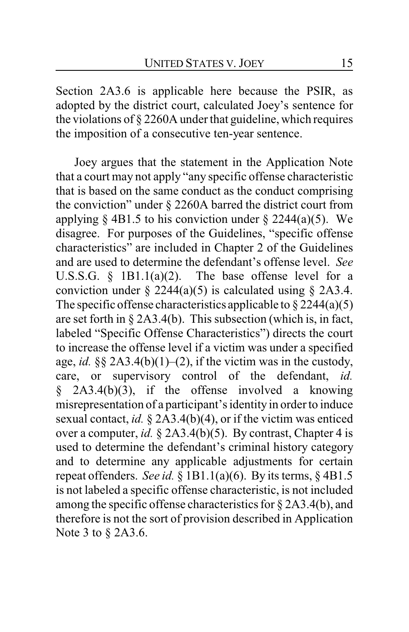Section 2A3.6 is applicable here because the PSIR, as adopted by the district court, calculated Joey's sentence for the violations of § 2260A under that guideline, which requires the imposition of a consecutive ten-year sentence.

Joey argues that the statement in the Application Note that a court may not apply "any specific offense characteristic that is based on the same conduct as the conduct comprising the conviction" under § 2260A barred the district court from applying  $\S$  4B1.5 to his conviction under  $\S$  2244(a)(5). We disagree. For purposes of the Guidelines, "specific offense characteristics" are included in Chapter 2 of the Guidelines and are used to determine the defendant's offense level. *See* U.S.S.G.  $\S$  1B1.1(a)(2). The base offense level for a conviction under  $\S$  2244(a)(5) is calculated using  $\S$  2A3.4. The specific offense characteristics applicable to  $\S 2244(a)(5)$ are set forth in § 2A3.4(b). This subsection (which is, in fact, labeled "Specific Offense Characteristics") directs the court to increase the offense level if a victim was under a specified age, *id.* §§ 2A3.4(b)(1)–(2), if the victim was in the custody, care, or supervisory control of the defendant, *id.* § 2A3.4(b)(3), if the offense involved a knowing misrepresentation of a participant's identity in order to induce sexual contact, *id.* § 2A3.4(b)(4), or if the victim was enticed over a computer, *id.* § 2A3.4(b)(5). By contrast, Chapter 4 is used to determine the defendant's criminal history category and to determine any applicable adjustments for certain repeat offenders. *See id.* § 1B1.1(a)(6). By its terms, § 4B1.5 is not labeled a specific offense characteristic, is not included among the specific offense characteristics for § 2A3.4(b), and therefore is not the sort of provision described in Application Note 3 to § 2A3.6.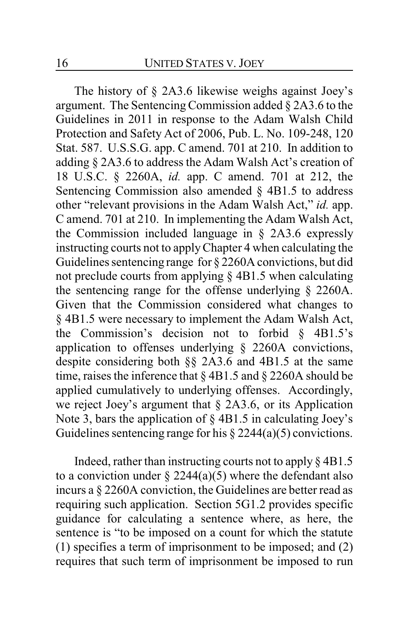The history of § 2A3.6 likewise weighs against Joey's argument. The Sentencing Commission added  $\S$  2A3.6 to the Guidelines in 2011 in response to the Adam Walsh Child Protection and Safety Act of 2006, Pub. L. No. 109-248, 120 Stat. 587. U.S.S.G. app. C amend. 701 at 210. In addition to adding § 2A3.6 to address the Adam Walsh Act's creation of 18 U.S.C. § 2260A, *id.* app. C amend. 701 at 212, the Sentencing Commission also amended  $\S$  4B1.5 to address other "relevant provisions in the Adam Walsh Act," *id.* app. C amend. 701 at 210. In implementing the Adam Walsh Act, the Commission included language in § 2A3.6 expressly instructing courts not to applyChapter 4 when calculating the Guidelines sentencing range for § 2260A convictions, but did not preclude courts from applying § 4B1.5 when calculating the sentencing range for the offense underlying § 2260A. Given that the Commission considered what changes to § 4B1.5 were necessary to implement the Adam Walsh Act, the Commission's decision not to forbid  $\delta$  4B1.5's application to offenses underlying § 2260A convictions, despite considering both §§ 2A3.6 and 4B1.5 at the same time, raises the inference that  $\S$  4B1.5 and  $\S$  2260A should be applied cumulatively to underlying offenses. Accordingly, we reject Joey's argument that § 2A3.6, or its Application Note 3, bars the application of § 4B1.5 in calculating Joey's Guidelines sentencing range for his  $\S 2244(a)(5)$  convictions.

Indeed, rather than instructing courts not to apply § 4B1.5 to a conviction under  $\S 2244(a)(5)$  where the defendant also incurs a § 2260A conviction, the Guidelines are better read as requiring such application. Section 5G1.2 provides specific guidance for calculating a sentence where, as here, the sentence is "to be imposed on a count for which the statute (1) specifies a term of imprisonment to be imposed; and (2) requires that such term of imprisonment be imposed to run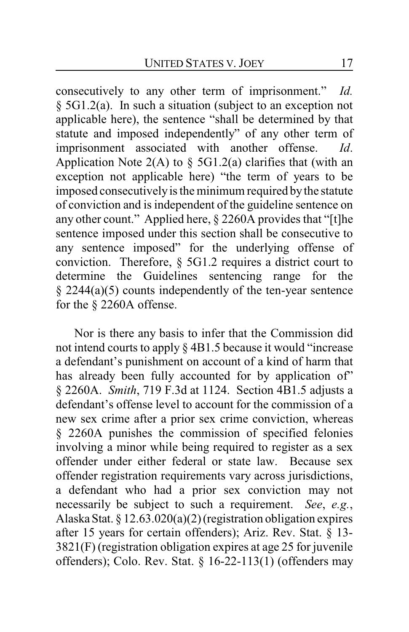consecutively to any other term of imprisonment." *Id.* § 5G1.2(a). In such a situation (subject to an exception not applicable here), the sentence "shall be determined by that statute and imposed independently" of any other term of imprisonment associated with another offense. *Id*. Application Note  $2(A)$  to § 5G1.2(a) clarifies that (with an exception not applicable here) "the term of years to be imposed consecutivelyis the minimum required bythe statute of conviction and is independent of the guideline sentence on any other count." Applied here, § 2260A provides that "[t]he sentence imposed under this section shall be consecutive to any sentence imposed" for the underlying offense of conviction. Therefore, § 5G1.2 requires a district court to determine the Guidelines sentencing range for the § 2244(a)(5) counts independently of the ten-year sentence for the § 2260A offense.

Nor is there any basis to infer that the Commission did not intend courts to apply § 4B1.5 because it would "increase a defendant's punishment on account of a kind of harm that has already been fully accounted for by application of" § 2260A. *Smith*, 719 F.3d at 1124. Section 4B1.5 adjusts a defendant's offense level to account for the commission of a new sex crime after a prior sex crime conviction, whereas § 2260A punishes the commission of specified felonies involving a minor while being required to register as a sex offender under either federal or state law. Because sex offender registration requirements vary across jurisdictions, a defendant who had a prior sex conviction may not necessarily be subject to such a requirement. *See*, *e.g.*, Alaska Stat. § 12.63.020(a)(2) (registration obligation expires after 15 years for certain offenders); Ariz. Rev. Stat. § 13- 3821(F) (registration obligation expires at age 25 for juvenile offenders); Colo. Rev. Stat. § 16-22-113(1) (offenders may